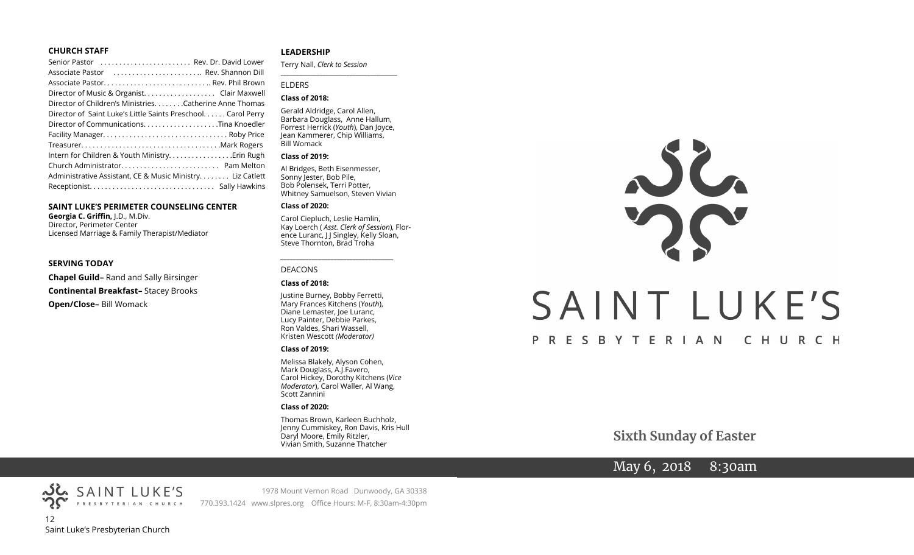#### **CHURCH STAFF**

| Senior Pastor  Rev. Dr. David Lower                           |
|---------------------------------------------------------------|
| Associate Pastor  Rev. Shannon Dill                           |
|                                                               |
| Director of Music & Organist. Clair Maxwell                   |
| Director of Children's MinistriesCatherine Anne Thomas        |
| Director of Saint Luke's Little Saints Preschool. Carol Perry |
|                                                               |
|                                                               |
|                                                               |
| Intern for Children & Youth Ministry Erin Rugh                |
|                                                               |
| Administrative Assistant, CE & Music Ministry Liz Catlett     |
|                                                               |

#### **SAINT LUKE'S PERIMETER COUNSELING CENTER**

**Georgia C. Griffin,** J.D., M.Div. Director, Perimeter Center Licensed Marriage & Family Therapist/Mediator

#### **SERVING TODAY**

**Chapel Guild–** Rand and Sally Birsinger **Continental Breakfast–** Stacey Brooks **Open/Close–** Bill Womack

#### **LEADERSHIP**

Terry Nall, *Clerk to Session*  **\_\_\_\_\_\_\_\_\_\_\_\_\_\_\_\_\_\_\_\_\_\_\_\_\_\_\_\_\_\_\_\_\_\_\_\_\_\_\_**

#### ELDERS

#### **Class of 2018:**

Gerald Aldridge, Carol Allen, Barbara Douglass, Anne Hallum, Forrest Herrick (*Youth*), Dan Joyce, Jean Kammerer, Chip Williams, Bill Womack

#### **Class of 2019:**

Al Bridges, Beth Eisenmesser, Sonny Jester, Bob Pile, Bob Polensek, Terri Potter, Whitney Samuelson, Steven Vivian

#### **Class of 2020:**

Carol Ciepluch, Leslie Hamlin, Kay Loerch ( *Asst. Clerk of Session*), Florence Luranc, J J Singley, Kelly Sloan, Steve Thornton, Brad Troha

*\_\_\_\_\_\_\_\_\_\_\_\_\_\_\_\_\_\_\_\_\_\_\_\_\_\_\_\_\_\_\_\_\_\_\_\_*

#### DEACONS

#### **Class of 2018:**

Justine Burney, Bobby Ferretti, Mary Frances Kitchens (*Youth*), Diane Lemaster, Joe Luranc, Lucy Painter, Debbie Parkes, Ron Valdes, Shari Wassell, Kristen Wescott *(Moderator)*

#### **Class of 2019:**

Melissa Blakely, Alyson Cohen, Mark Douglass, A.J.Favero, Carol Hickey, Dorothy Kitchens (*Vice Moderator*), Carol Waller, Al Wang, Scott Zannini

#### **Class of 2020:**

Thomas Brown, Karleen Buchholz, Jenny Cummiskey, Ron Davis, Kris Hull Daryl Moore, Emily Ritzler, Vivian Smith, Suzanne Thatcher

# $22$ SAINT LUKE'S PRESBYTERIAN CHURCH

**Sixth Sunday of Easter**

## May 6, 2018 8:30am



SAINT LUKE'S

1978 Mount Vernon Road Dunwoody, GA 30338 770.393.1424 www.slpres.org Office Hours: M-F, 8:30am-4:30pm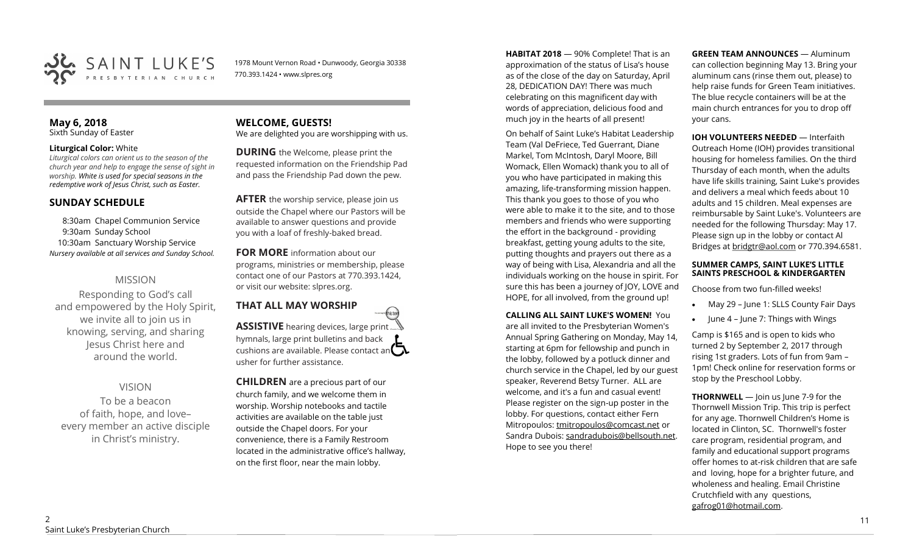

1978 Mount Vernon Road • Dunwoody, Georgia 30338 770.393.1424 • www.slpres.org

#### **May 6, 2018**  Sixth Sunday of Easter

#### **Liturgical Color:** White

*Liturgical colors can orient us to the season of the church year and help to engage the sense of sight in worship. White is used for special seasons in the redemptive work of Jesus Christ, such as Easter.* 

#### **SUNDAY SCHEDULE**

8:30am Chapel Communion Service 9:30am Sunday School 10:30am Sanctuary Worship Service *Nursery available at all services and Sunday School.* 

### MISSION

Responding to God's call and empowered by the Holy Spirit, we invite all to join us in knowing, serving, and sharing Jesus Christ here and around the world.

### VISION

To be a beacon of faith, hope, and love– every member an active disciple in Christ's ministry.

#### **WELCOME, GUESTS!**  We are delighted you are worshipping with us.

**DURING** the Welcome, please print the requested information on the Friendship Pad and pass the Friendship Pad down the pew.

**AFTER** the worship service, please join us outside the Chapel where our Pastors will be available to answer questions and provide you with a loaf of freshly-baked bread.

**FOR MORE** information about our programs, ministries or membership, please contact one of our Pastors at 770.393.1424, or visit our website: slpres.org.

#### **THAT ALL MAY WORSHIP** thisted **ASSISTIVE** hearing devices, large print... hymnals, large print bulletins and back cushions are available. Please contact an  $\mathbf{\Omega}$ usher for further assistance.

**CHILDREN** are a precious part of our church family, and we welcome them in worship. Worship notebooks and tactile activities are available on the table just outside the Chapel doors. For your convenience, there is a Family Restroom located in the administrative office's hallway, on the first floor, near the main lobby.

**HABITAT 2018** — 90% Complete! That is an approximation of the status of Lisa's house as of the close of the day on Saturday, April 28, DEDICATION DAY! There was much celebrating on this magnificent day with words of appreciation, delicious food and much joy in the hearts of all present!

On behalf of Saint Luke's Habitat Leadership Team (Val DeFriece, Ted Guerrant, Diane Markel, Tom McIntosh, Daryl Moore, Bill Womack, Ellen Womack) thank you to all of you who have participated in making this amazing, life-transforming mission happen. This thank you goes to those of you who were able to make it to the site, and to those members and friends who were supporting the effort in the background - providing breakfast, getting young adults to the site, putting thoughts and prayers out there as a way of being with Lisa, Alexandria and all the individuals working on the house in spirit. For sure this has been a journey of JOY, LOVE and HOPE, for all involved, from the ground up!

#### **CALLING ALL SAINT LUKE'S WOMEN!** You are all invited to the Presbyterian Women's Annual Spring Gathering on Monday, May 14, starting at 6pm for fellowship and punch in the lobby, followed by a potluck dinner and church service in the Chapel, led by our guest speaker, Reverend Betsy Turner. ALL are welcome, and it's a fun and casual event! Please register on the sign-up poster in the lobby. For questions, contact either Fern Mitropoulos: [tmitropoulos@comcast.net](mailto:tmitropoulos@comcast.net) or Sandra Dubois: sandradubois@bellsouth.net. Hope to see you there!

**GREEN TEAM ANNOUNCES** — Aluminum can collection beginning May 13. Bring your aluminum cans (rinse them out, please) to help raise funds for Green Team initiatives. The blue recycle containers will be at the main church entrances for you to drop off your cans.

#### **IOH VOLUNTEERS NEEDED** — Interfaith Outreach Home (IOH) provides transitional housing for homeless families. On the third Thursday of each month, when the adults have life skills training, Saint Luke's provides and delivers a meal which feeds about 10 adults and 15 children. Meal expenses are reimbursable by Saint Luke's. Volunteers are needed for the following Thursday: May 17. Please sign up in the lobby or contact Al Bridges at [bridgtr@aol.com](mailto:bridgtr@aol.com) or 770.394.6581.

#### **SUMMER CAMPS, SAINT LUKE'S LITTLE SAINTS PRESCHOOL & KINDERGARTEN**

Choose from two fun-filled weeks!

- May 29 June 1: SLLS County Fair Days
- $\bullet$  June 4 June 7: Things with Wings

Camp is \$165 and is open to kids who turned 2 by September 2, 2017 through rising 1st graders. Lots of fun from 9am – 1pm! Check online for reservation forms or stop by the Preschool Lobby.

**THORNWELL** — Join us lune 7-9 for the Thornwell Mission Trip. This trip is perfect for any age. Thornwell Children's Home is located in Clinton, SC. Thornwell's foster care program, residential program, and family and educational support programs offer homes to at-risk children that are safe and loving, hope for a brighter future, and wholeness and healing. Email Christine Crutchfield with any questions, gafrog01@hotmail.com.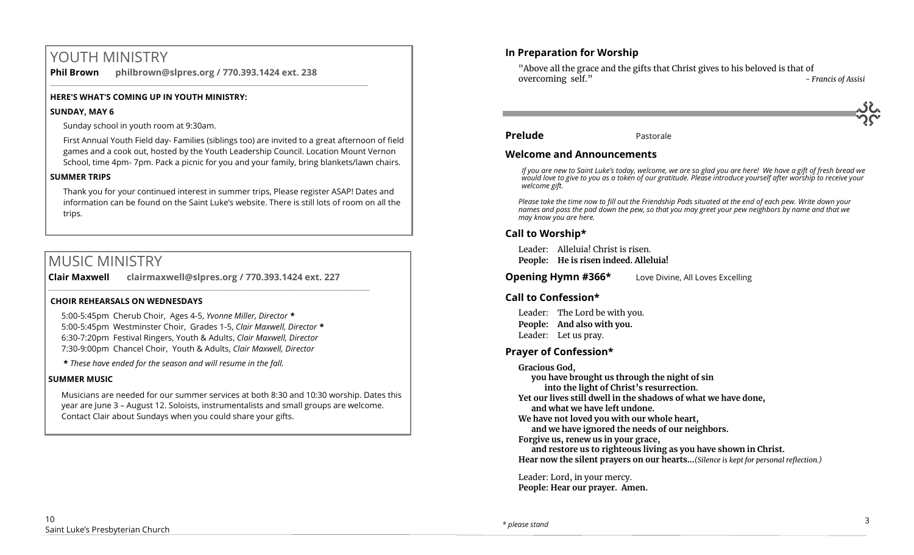# YOUTH MINISTRY

**Phil Brown philbrown@slpres.org / 770.393.1424 ext. 238**  \_\_\_\_\_\_\_\_\_\_\_\_\_\_\_\_\_\_\_\_\_\_\_\_\_\_\_\_\_\_\_\_\_\_\_\_\_\_\_\_\_\_\_\_\_\_\_\_\_\_\_\_\_\_\_\_\_\_\_\_\_\_\_\_\_\_\_\_\_\_\_\_\_\_\_\_\_\_\_\_\_\_\_\_\_\_\_

#### **HERE'S WHAT'S COMING UP IN YOUTH MINISTRY:**

#### **SUNDAY, MAY 6**

Sunday school in youth room at 9:30am.

First Annual Youth Field day- Families (siblings too) are invited to a great afternoon of field games and a cook out, hosted by the Youth Leadership Council. Location Mount Vernon School, time 4pm- 7pm. Pack a picnic for you and your family, bring blankets/lawn chairs.

#### **SUMMER TRIPS**

Thank you for your continued interest in summer trips, Please register ASAP! Dates and information can be found on the Saint Luke's website. There is still lots of room on all the trips.

## MUSIC MINISTRY

**Clair Maxwell clairmaxwell@slpres.org / 770.393.1424 ext. 227**   $\_$  ,  $\_$  ,  $\_$  ,  $\_$  ,  $\_$  ,  $\_$  ,  $\_$  ,  $\_$  ,  $\_$  ,  $\_$  ,  $\_$  ,  $\_$  ,  $\_$  ,  $\_$  ,  $\_$  ,  $\_$  ,  $\_$  ,  $\_$  ,  $\_$ 

#### **CHOIR REHEARSALS ON WEDNESDAYS**

5:00-5:45pm Cherub Choir, Ages 4-5, *Yvonne Miller, Director \** 5:00-5:45pm Westminster Choir, Grades 1-5, *Clair Maxwell, Director \**  6:30-7:20pm Festival Ringers, Youth & Adults, *Clair Maxwell, Director*  7:30-9:00pm Chancel Choir, Youth & Adults, *Clair Maxwell, Director* 

**\*** *These have ended for the season and will resume in the fall.*

#### **SUMMER MUSIC**

Musicians are needed for our summer services at both 8:30 and 10:30 worship. Dates this year are June 3 – August 12. Soloists, instrumentalists and small groups are welcome. Contact Clair about Sundays when you could share your gifts.

#### **In Preparation for Worship**

"Above all the grace and the gifts that Christ gives to his beloved is that of overcoming self." *- Francis of Assisi*

**Prelude** Pastorale

#### **Welcome and Announcements**

*If you are new to Saint Luke's today, welcome, we are so glad you are here! We have a gift of fresh bread we would love to give to you as a token of our gratitude. Please introduce yourself after worship to receive your welcome gift.*

*Please take the time now to fill out the Friendship Pads situated at the end of each pew. Write down your names and pass the pad down the pew, so that you may greet your pew neighbors by name and that we may know you are here.*

### **Call to Worship\***

Leader: Alleluia! Christ is risen. **People: He is risen indeed. Alleluia!**

**Opening Hymn #366\*** Love Divine, All Loves Excelling

#### **Call to Confession\***

Leader: The Lord be with you. **People: And also with you.** Leader: Let us pray.

#### **Prayer of Confession\***

**Gracious God,** 

**you have brought us through the night of sin into the light of Christ's resurrection. Yet our lives still dwell in the shadows of what we have done, and what we have left undone.** 

**We have not loved you with our whole heart,** 

**and we have ignored the needs of our neighbors.**

**Forgive us, renew us in your grace,** 

**and restore us to righteous living as you have shown in Christ. Hear now the silent prayers on our hearts...***(Silence is kept for personal reflection.)*

Leader: Lord, in your mercy. **People: Hear our prayer. Amen.**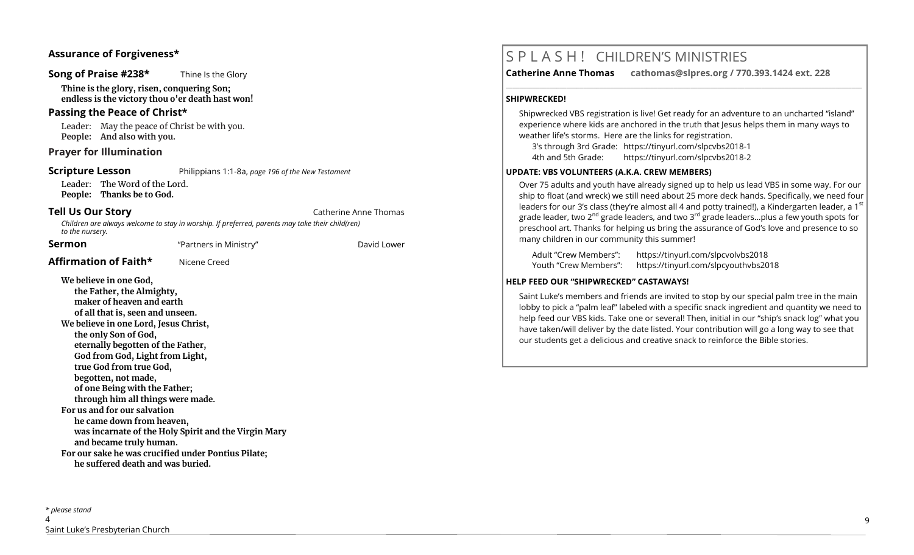#### **Assurance of Forgiveness\***

#### **Song of Praise #238\*** Thine Is the Glory

**Thine is the glory, risen, conquering Son; endless is the victory thou o'er death hast won!**

#### **Passing the Peace of Christ\***

Leader: May the peace of Christ be with you. **People: And also with you.** 

#### **Prayer for Illumination**

#### **Scripture Lesson** Philippians 1:1-8a, *page 196 of the New Testament*

Leader: The Word of the Lord. **People: Thanks be to God.**

Affirmation of Faith<sup>\*</sup> Nicene Creed

**Tell Us Our Story Catherine Anne Thomas** 

*Children are always welcome to stay in worship. If preferred, parents may take their child(ren) to the nursery.*

**Sermon** The *Partners* in Ministry" The David Lower

#### **We believe in one God, the Father, the Almighty, maker of heaven and earth of all that is, seen and unseen. We believe in one Lord, Jesus Christ, the only Son of God, eternally begotten of the Father, God from God, Light from Light, true God from true God, begotten, not made, of one Being with the Father; through him all things were made. For us and for our salvation he came down from heaven, was incarnate of the Holy Spirit and the Virgin Mary and became truly human. For our sake he was crucified under Pontius Pilate; he suffered death and was buried.**

# S P L A S H ! CHILDREN'S MINISTRIES

**Catherine Anne Thomas cathomas@slpres.org / 770.393.1424 ext. 228** 

#### **SHIPWRECKED!**

Shipwrecked VBS registration is live! Get ready for an adventure to an uncharted "island" experience where kids are anchored in the truth that Jesus helps them in many ways to weather life's storms. Here are the links for registration.

**\_\_\_\_\_\_\_\_\_\_\_\_\_\_\_\_\_\_\_\_\_\_\_\_\_\_\_\_\_\_\_\_\_\_\_\_\_\_\_\_\_\_\_\_\_\_\_\_\_\_\_\_\_\_\_\_\_\_\_\_\_\_\_\_\_\_\_\_\_\_\_\_\_\_\_\_\_\_\_\_\_\_\_\_\_\_\_\_\_\_\_\_\_\_\_\_\_\_\_\_\_\_\_\_\_\_** 

3's through 3rd Grade: https://tinyurl.com/slpcvbs2018-1 4th and 5th Grade: https://tinyurl.com/slpcvbs2018-2

#### **UPDATE: VBS VOLUNTEERS (A.K.A. CREW MEMBERS)**

Over 75 adults and youth have already signed up to help us lead VBS in some way. For our ship to float (and wreck) we still need about 25 more deck hands. Specifically, we need four leaders for our 3's class (they're almost all 4 and potty trained!), a Kindergarten leader, a 1<sup>st</sup> grade leader, two 2<sup>nd</sup> grade leaders, and two 3<sup>rd</sup> grade leaders...plus a few youth spots for preschool art. Thanks for helping us bring the assurance of God's love and presence to so many children in our community this summer!

Adult "Crew Members": https://tinyurl.com/slpcvolvbs2018 Youth "Crew Members": https://tinyurl.com/slpcyouthvbs2018

#### **HELP FEED OUR "SHIPWRECKED" CASTAWAYS!**

Saint Luke's members and friends are invited to stop by our special palm tree in the main lobby to pick a "palm leaf" labeled with a specific snack ingredient and quantity we need to help feed our VBS kids. Take one or several! Then, initial in our "ship's snack log" what you have taken/will deliver by the date listed. Your contribution will go a long way to see that our students get a delicious and creative snack to reinforce the Bible stories.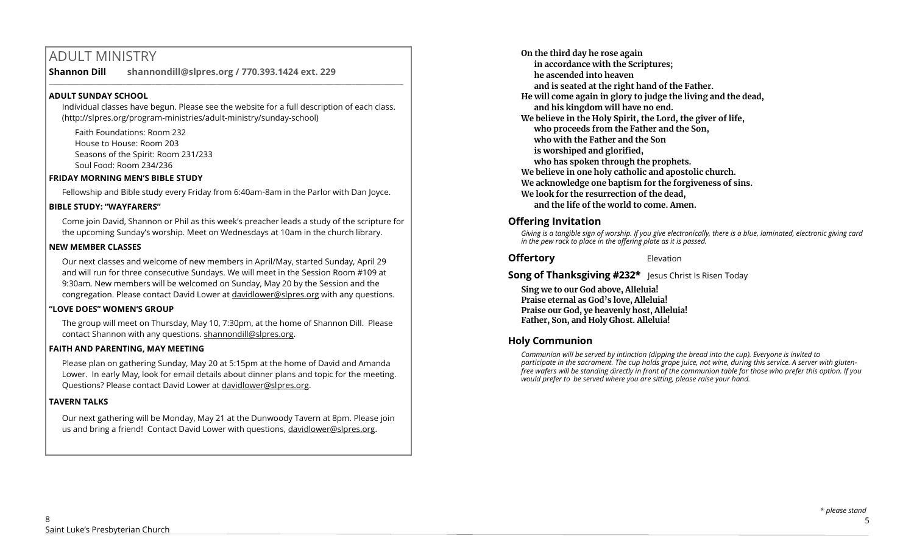# ADULT MINISTRY

**Shannon Dill shannondill@slpres.org / 770.393.1424 ext. 229** 

#### **ADULT SUNDAY SCHOOL**

Individual classes have begun. Please see the website for a full description of each class. (http://slpres.org/program-ministries/adult-ministry/sunday-school)

 $\_$  ,  $\_$  ,  $\_$  ,  $\_$  ,  $\_$  ,  $\_$  ,  $\_$  ,  $\_$  ,  $\_$  ,  $\_$  ,  $\_$  ,  $\_$  ,  $\_$  ,  $\_$  ,  $\_$  ,  $\_$  ,  $\_$  ,  $\_$  ,  $\_$ 

Faith Foundations: Room 232 House to House: Room 203 Seasons of the Spirit: Room 231/233 Soul Food: Room 234/236

#### **FRIDAY MORNING MEN'S BIBLE STUDY**

Fellowship and Bible study every Friday from 6:40am-8am in the Parlor with Dan Joyce.

#### **BIBLE STUDY: "WAYFARERS"**

Come join David, Shannon or Phil as this week's preacher leads a study of the scripture for the upcoming Sunday's worship. Meet on Wednesdays at 10am in the church library.

#### **NEW MEMBER CLASSES**

Our next classes and welcome of new members in April/May, started Sunday, April 29 and will run for three consecutive Sundays. We will meet in the Session Room #109 at 9:30am. New members will be welcomed on Sunday, May 20 by the Session and the congregation. Please contact David Lower at davidlower@slpres.org with any questions.

#### **"LOVE DOES" WOMEN'S GROUP**

The group will meet on Thursday, May 10, 7:30pm, at the home of Shannon Dill. Please contact Shannon with any questions. shannondill@slpres.org.

#### **FAITH AND PARENTING, MAY MEETING**

Please plan on gathering Sunday, May 20 at 5:15pm at the home of David and Amanda Lower. In early May, look for email details about dinner plans and topic for the meeting. Questions? Please contact David Lower at davidlower@slpres.org.

### **TAVERN TALKS**

Our next gathering will be Monday, May 21 at the Dunwoody Tavern at 8pm. Please join us and bring a friend! Contact David Lower with questions, davidlower@slpres.org.

**On the third day he rose again in accordance with the Scriptures; he ascended into heaven and is seated at the right hand of the Father. He will come again in glory to judge the living and the dead, and his kingdom will have no end. We believe in the Holy Spirit, the Lord, the giver of life, who proceeds from the Father and the Son, who with the Father and the Son is worshiped and glorified, who has spoken through the prophets. We believe in one holy catholic and apostolic church. We acknowledge one baptism for the forgiveness of sins. We look for the resurrection of the dead, and the life of the world to come. Amen.** 

## **Offering Invitation**

*Giving is a tangible sign of worship. If you give electronically, there is a blue, laminated, electronic giving card in the pew rack to place in the offering plate as it is passed.*

**Offertory** Elevation

**Song of Thanksgiving #232\*** Jesus Christ Is Risen Today

**Sing we to our God above, Alleluia! Praise eternal as God's love, Alleluia! Praise our God, ye heavenly host, Alleluia! Father, Son, and Holy Ghost. Alleluia!**

## **Holy Communion**

*Communion will be served by intinction (dipping the bread into the cup). Everyone is invited to participate in the sacrament. The cup holds grape juice, not wine, during this service. A server with glutenfree wafers will be standing directly in front of the communion table for those who prefer this option. If you would prefer to be served where you are sitting, please raise your hand.*